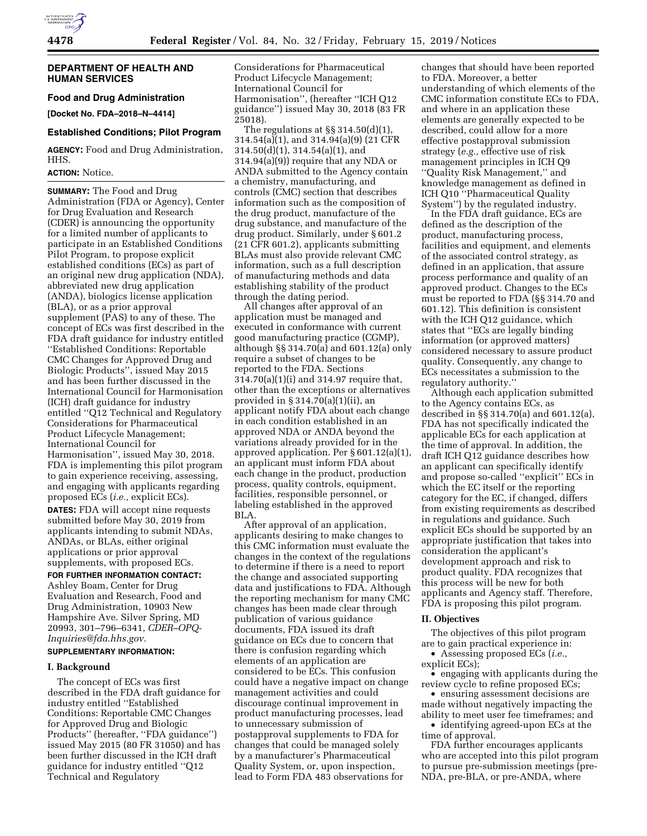### **DEPARTMENT OF HEALTH AND HUMAN SERVICES**

# **Food and Drug Administration**

**[Docket No. FDA–2018–N–4414]** 

#### **Established Conditions; Pilot Program**

**AGENCY:** Food and Drug Administration, HHS.

# **ACTION:** Notice.

**SUMMARY:** The Food and Drug Administration (FDA or Agency), Center for Drug Evaluation and Research (CDER) is announcing the opportunity for a limited number of applicants to participate in an Established Conditions Pilot Program, to propose explicit established conditions (ECs) as part of an original new drug application (NDA), abbreviated new drug application (ANDA), biologics license application (BLA), or as a prior approval supplement (PAS) to any of these. The concept of ECs was first described in the FDA draft guidance for industry entitled ''Established Conditions: Reportable CMC Changes for Approved Drug and Biologic Products'', issued May 2015 and has been further discussed in the International Council for Harmonisation (ICH) draft guidance for industry entitled ''Q12 Technical and Regulatory Considerations for Pharmaceutical Product Lifecycle Management; International Council for Harmonisation'', issued May 30, 2018. FDA is implementing this pilot program to gain experience receiving, assessing, and engaging with applicants regarding proposed ECs (*i.e.,* explicit ECs). **DATES:** FDA will accept nine requests

submitted before May 30, 2019 from applicants intending to submit NDAs, ANDAs, or BLAs, either original applications or prior approval supplements, with proposed ECs.

**FOR FURTHER INFORMATION CONTACT:**  Ashley Boam, Center for Drug Evaluation and Research, Food and Drug Administration, 10903 New

Hampshire Ave. Silver Spring, MD 20993, 301–796–6341, *[CDER–OPQ-](mailto:CDER-OPQ-Inquiries@fda.hhs.gov)*

# *[Inquiries@fda.hhs.gov.](mailto:CDER-OPQ-Inquiries@fda.hhs.gov)*  **SUPPLEMENTARY INFORMATION:**

### **I. Background**

The concept of ECs was first described in the FDA draft guidance for industry entitled ''Established Conditions: Reportable CMC Changes for Approved Drug and Biologic Products'' (hereafter, ''FDA guidance'') issued May 2015 (80 FR 31050) and has been further discussed in the ICH draft guidance for industry entitled ''Q12 Technical and Regulatory

Considerations for Pharmaceutical Product Lifecycle Management; International Council for Harmonisation'', (hereafter ''ICH Q12 guidance'') issued May 30, 2018 (83 FR 25018).

The regulations at §§ 314.50(d)(1), 314.54(a)(1), and 314.94(a)(9) (21 CFR 314.50(d)(1), 314.54(a)(1), and 314.94(a)(9)) require that any NDA or ANDA submitted to the Agency contain a chemistry, manufacturing, and controls (CMC) section that describes information such as the composition of the drug product, manufacture of the drug substance, and manufacture of the drug product. Similarly, under § 601.2 (21 CFR 601.2), applicants submitting BLAs must also provide relevant CMC information, such as a full description of manufacturing methods and data establishing stability of the product through the dating period.

All changes after approval of an application must be managed and executed in conformance with current good manufacturing practice (CGMP), although §§ 314.70(a) and 601.12(a) only require a subset of changes to be reported to the FDA. Sections 314.70(a)(1)(i) and 314.97 require that, other than the exceptions or alternatives provided in § 314.70(a)(1)(ii), an applicant notify FDA about each change in each condition established in an approved NDA or ANDA beyond the variations already provided for in the approved application. Per § 601.12(a)(1), an applicant must inform FDA about each change in the product, production process, quality controls, equipment, facilities, responsible personnel, or labeling established in the approved BLA.

After approval of an application, applicants desiring to make changes to this CMC information must evaluate the changes in the context of the regulations to determine if there is a need to report the change and associated supporting data and justifications to FDA. Although the reporting mechanism for many CMC changes has been made clear through publication of various guidance documents, FDA issued its draft guidance on ECs due to concern that there is confusion regarding which elements of an application are considered to be ECs. This confusion could have a negative impact on change management activities and could discourage continual improvement in product manufacturing processes, lead to unnecessary submission of postapproval supplements to FDA for changes that could be managed solely by a manufacturer's Pharmaceutical Quality System, or, upon inspection, lead to Form FDA 483 observations for

changes that should have been reported to FDA. Moreover, a better understanding of which elements of the CMC information constitute ECs to FDA, and where in an application these elements are generally expected to be described, could allow for a more effective postapproval submission strategy (*e.g.,* effective use of risk management principles in ICH Q9 ''Quality Risk Management,'' and knowledge management as defined in ICH Q10 ''Pharmaceutical Quality System'') by the regulated industry.

In the FDA draft guidance, ECs are defined as the description of the product, manufacturing process, facilities and equipment, and elements of the associated control strategy, as defined in an application, that assure process performance and quality of an approved product. Changes to the ECs must be reported to FDA (§§ 314.70 and 601.12). This definition is consistent with the ICH Q12 guidance, which states that ''ECs are legally binding information (or approved matters) considered necessary to assure product quality. Consequently, any change to ECs necessitates a submission to the regulatory authority.''

Although each application submitted to the Agency contains ECs, as described in §§ 314.70(a) and 601.12(a), FDA has not specifically indicated the applicable ECs for each application at the time of approval. In addition, the draft ICH Q12 guidance describes how an applicant can specifically identify and propose so-called ''explicit'' ECs in which the EC itself or the reporting category for the EC, if changed, differs from existing requirements as described in regulations and guidance. Such explicit ECs should be supported by an appropriate justification that takes into consideration the applicant's development approach and risk to product quality. FDA recognizes that this process will be new for both applicants and Agency staff. Therefore, FDA is proposing this pilot program.

# **II. Objectives**

The objectives of this pilot program are to gain practical experience in:

• Assessing proposed ECs (*i.e.,* 

explicit ECs);

• engaging with applicants during the review cycle to refine proposed ECs;

• ensuring assessment decisions are made without negatively impacting the ability to meet user fee timeframes; and

• identifying agreed-upon ECs at the time of approval.

FDA further encourages applicants who are accepted into this pilot program to pursue pre-submission meetings (pre-NDA, pre-BLA, or pre-ANDA, where